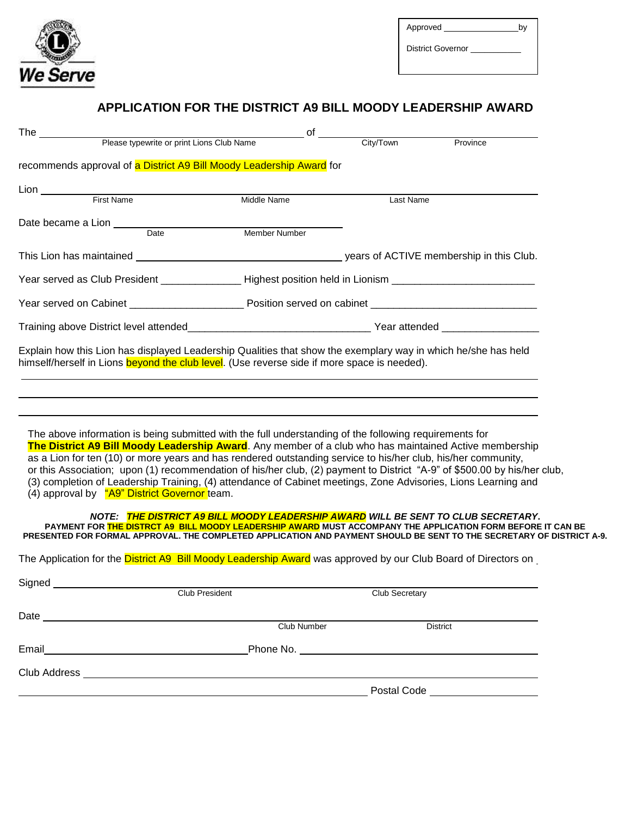

District Governor \_\_\_\_

## APPLICATION FOR THE DISTRICT A9 BILL MOODY LEADERSHIP AWARD

| The $\_$                                                                                                                                                                                                                |                                           | of            |                       |                                                                                                                                                                                                                                            |
|-------------------------------------------------------------------------------------------------------------------------------------------------------------------------------------------------------------------------|-------------------------------------------|---------------|-----------------------|--------------------------------------------------------------------------------------------------------------------------------------------------------------------------------------------------------------------------------------------|
|                                                                                                                                                                                                                         | Please typewrite or print Lions Club Name |               | City/Town             | Province                                                                                                                                                                                                                                   |
| recommends approval of a District A9 Bill Moody Leadership Award for                                                                                                                                                    |                                           |               |                       |                                                                                                                                                                                                                                            |
|                                                                                                                                                                                                                         |                                           |               |                       |                                                                                                                                                                                                                                            |
| Lion <u>First Name</u>                                                                                                                                                                                                  |                                           | Middle Name   | Last Name             |                                                                                                                                                                                                                                            |
| Date became a Lion _____                                                                                                                                                                                                |                                           |               |                       |                                                                                                                                                                                                                                            |
|                                                                                                                                                                                                                         | Date                                      | Member Number |                       |                                                                                                                                                                                                                                            |
|                                                                                                                                                                                                                         |                                           |               |                       |                                                                                                                                                                                                                                            |
| Year served as Club President ________________Highest position held in Lionism ______________________________                                                                                                           |                                           |               |                       |                                                                                                                                                                                                                                            |
|                                                                                                                                                                                                                         |                                           |               |                       |                                                                                                                                                                                                                                            |
|                                                                                                                                                                                                                         |                                           |               |                       |                                                                                                                                                                                                                                            |
| Explain how this Lion has displayed Leadership Qualities that show the exemplary way in which he/she has held<br>himself/herself in Lions beyond the club level. (Use reverse side if more space is needed).            |                                           |               |                       |                                                                                                                                                                                                                                            |
|                                                                                                                                                                                                                         |                                           |               |                       |                                                                                                                                                                                                                                            |
| The above information is being submitted with the full understanding of the following requirements for<br>as a Lion for ten (10) or more years and has rendered outstanding service to his/her club, his/her community, |                                           |               |                       | The District A9 Bill Moody Leadership Award. Any member of a club who has maintained Active membership                                                                                                                                     |
| (4) approval by "A9" District Governor team.                                                                                                                                                                            |                                           |               |                       | or this Association; upon (1) recommendation of his/her club, (2) payment to District "A-9" of \$500.00 by his/her club,<br>(3) completion of Leadership Training, (4) attendance of Cabinet meetings, Zone Advisories, Lions Learning and |
| PRESENTED FOR FORMAL APPROVAL. THE COMPLETED APPLICATION AND PAYMENT SHOULD BE SENT TO THE SECRETARY OF DISTRICT A-9.                                                                                                   |                                           |               |                       | NOTE: THE DISTRICT A9 BILL MOODY LEADERSHIP AWARD WILL BE SENT TO CLUB SECRETARY.<br>PAYMENT FOR THE DISTRCT A9 BILL MOODY LEADERSHIP AWARD MUST ACCOMPANY THE APPLICATION FORM BEFORE IT CAN BE                                           |
| The Application for the District A9 Bill Moody Leadership Award was approved by our Club Board of Directors on                                                                                                          |                                           |               |                       |                                                                                                                                                                                                                                            |
|                                                                                                                                                                                                                         |                                           |               |                       |                                                                                                                                                                                                                                            |
| Signed<br>Club President                                                                                                                                                                                                |                                           |               | <b>Club Secretary</b> |                                                                                                                                                                                                                                            |
|                                                                                                                                                                                                                         |                                           | Club Number   |                       | <b>District</b>                                                                                                                                                                                                                            |
|                                                                                                                                                                                                                         |                                           |               |                       | Phone No. The contract of the contract of the contract of the contract of the contract of the contract of the contract of the contract of the contract of the contract of the contract of the contract of the contract of the              |
| Club Address <b>Club Address Club Address Club Address</b>                                                                                                                                                              |                                           |               |                       |                                                                                                                                                                                                                                            |